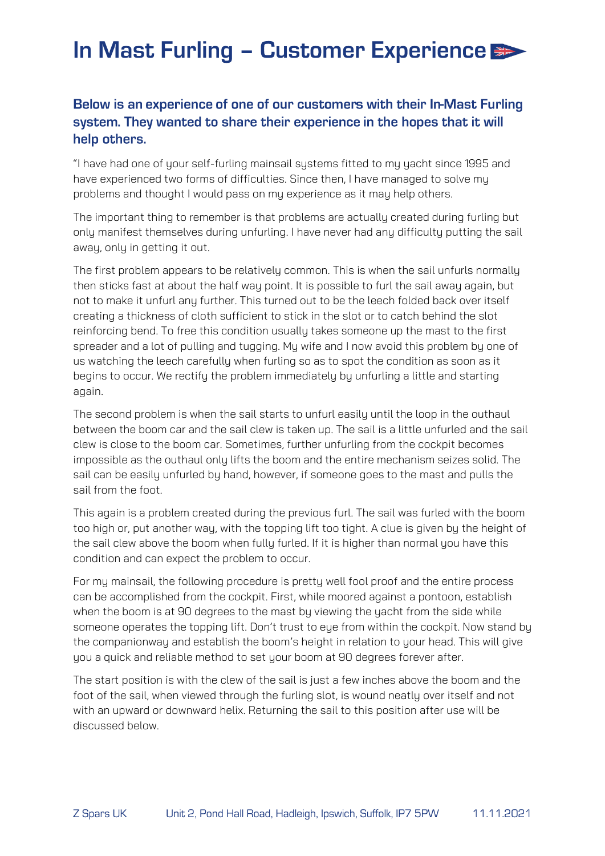## In Mast Furling - Customer Experience

## Below is an experience of one of our customers with their In-Mast Furling system. They wanted to share their experience in the hopes that it will help others.

"I have had one of your self-furling mainsail systems fitted to my yacht since 1995 and have experienced two forms of difficulties. Since then, I have managed to solve my problems and thought I would pass on my experience as it may help others.

The important thing to remember is that problems are actually created during furling but only manifest themselves during unfurling. I have never had any difficulty putting the sail away, only in getting it out.

The first problem appears to be relatively common. This is when the sail unfurls normally then sticks fast at about the half way point. It is possible to furl the sail away again, but not to make it unfurl any further. This turned out to be the leech folded back over itself creating a thickness of cloth sufficient to stick in the slot or to catch behind the slot reinforcing bend. To free this condition usually takes someone up the mast to the first spreader and a lot of pulling and tugging. My wife and I now avoid this problem by one of us watching the leech carefully when furling so as to spot the condition as soon as it begins to occur. We rectify the problem immediately by unfurling a little and starting again.

The second problem is when the sail starts to unfurl easily until the loop in the outhaul between the boom car and the sail clew is taken up. The sail is a little unfurled and the sail clew is close to the boom car. Sometimes, further unfurling from the cockpit becomes impossible as the outhaul only lifts the boom and the entire mechanism seizes solid. The sail can be easily unfurled by hand, however, if someone goes to the mast and pulls the sail from the foot.

This again is a problem created during the previous furl. The sail was furled with the boom too high or, put another way, with the topping lift too tight. A clue is given by the height of the sail clew above the boom when fully furled. If it is higher than normal you have this condition and can expect the problem to occur.

For my mainsail, the following procedure is pretty well fool proof and the entire process can be accomplished from the cockpit. First, while moored against a pontoon, establish when the boom is at 90 degrees to the mast by viewing the yacht from the side while someone operates the topping lift. Don't trust to eye from within the cockpit. Now stand by the companionway and establish the boom's height in relation to your head. This will give you a quick and reliable method to set your boom at 90 degrees forever after.

The start position is with the clew of the sail is just a few inches above the boom and the foot of the sail, when viewed through the furling slot, is wound neatly over itself and not with an upward or downward helix. Returning the sail to this position after use will be discussed below.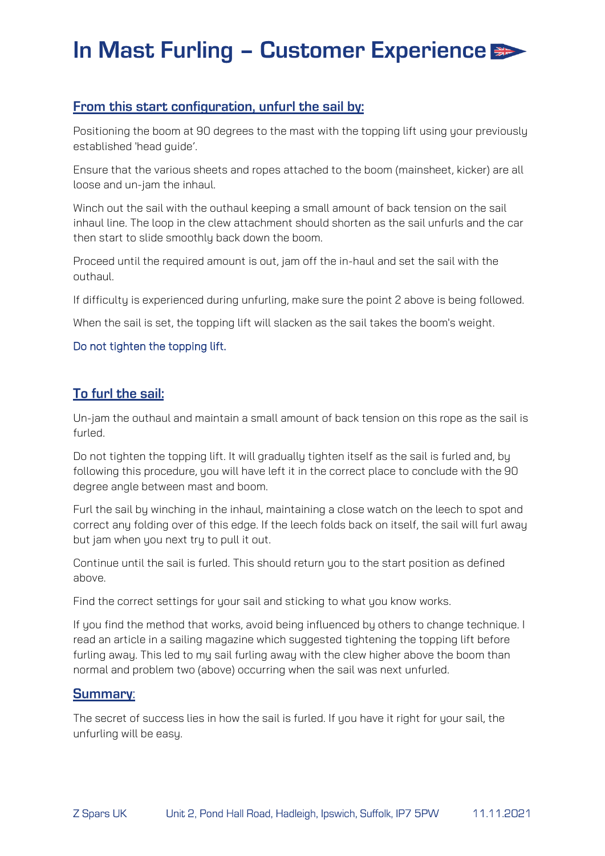## In Mast Furling - Customer Experience

### From this start configuration, unfurl the sail by:

Positioning the boom at 90 degrees to the mast with the topping lift using your previously established 'head guide'.

Ensure that the various sheets and ropes attached to the boom (mainsheet, kicker) are all loose and un-jam the inhaul.

Winch out the sail with the outhaul keeping a small amount of back tension on the sail inhaul line. The loop in the clew attachment should shorten as the sail unfurls and the car then start to slide smoothly back down the boom.

Proceed until the required amount is out, jam off the in-haul and set the sail with the outhaul.

If difficultu is experienced during unfurling, make sure the point 2 above is being followed.

When the sail is set, the topping lift will slacken as the sail takes the boom's weight.

#### Do not tighten the topping lift.

### To furl the sail:

Un-jam the outhaul and maintain a small amount of back tension on this rope as the sail is furled.

Do not tighten the topping lift. It will gradually tighten itself as the sail is furled and, by following this procedure, you will have left it in the correct place to conclude with the 90 degree angle between mast and boom.

Furl the sail by winching in the inhaul, maintaining a close watch on the leech to spot and correct any folding over of this edge. If the leech folds back on itself, the sail will furl away but jam when you next try to pull it out.

Continue until the sail is furled. This should return you to the start position as defined above.

Find the correct settings for your sail and sticking to what you know works.

If you find the method that works, avoid being influenced by others to change technique. I read an article in a sailing magazine which suggested tightening the topping lift before furling away. This led to my sail furling away with the clew higher above the boom than normal and problem two (above) occurring when the sail was next unfurled.

#### **Summary:**

The secret of success lies in how the sail is furled. If you have it right for your sail, the unfurling will be easy.